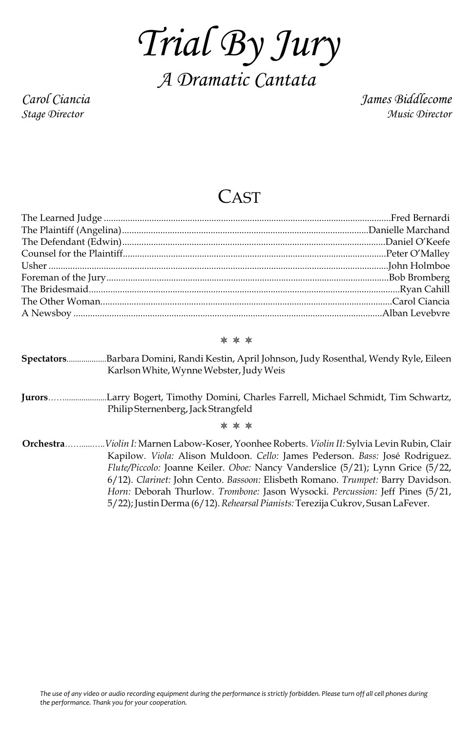*Trial By Jury A Dramatic Cantata*

*Carol Ciancia James Biddlecome Stage Director Music Director*

## CAST

## \* \* \*

- **Spectators**...................Barbara Domini, Randi Kestin, April Johnson, Judy Rosenthal, Wendy Ryle, Eileen Karlson White, Wynne Webster, Judy Weis
- **Jurors**……....................Larry Bogert, Timothy Domini, Charles Farrell, Michael Schmidt, Tim Schwartz, Philip Sternenberg, Jack Strangfeld

\* \* \*

**Orchestra**…….....…..*Violin I:* Marnen Labow-Koser, Yoonhee Roberts. *Violin II:* Sylvia Levin Rubin, Clair Kapilow. *Viola:* Alison Muldoon. *Cello:* James Pederson. *Bass:* José Rodriguez. *Flute/Piccolo:* Joanne Keiler. *Oboe:* Nancy Vanderslice (5/21); Lynn Grice (5/22, 6/12). *Clarinet:* John Cento. *Bassoon:* Elisbeth Romano. *Trumpet:* Barry Davidson. *Horn:* Deborah Thurlow. *Trombone:* Jason Wysocki. *Percussion:* Jeff Pines (5/21, 5/22); Justin Derma (6/12). *Rehearsal Pianists:*Terezija Cukrov, Susan LaFever.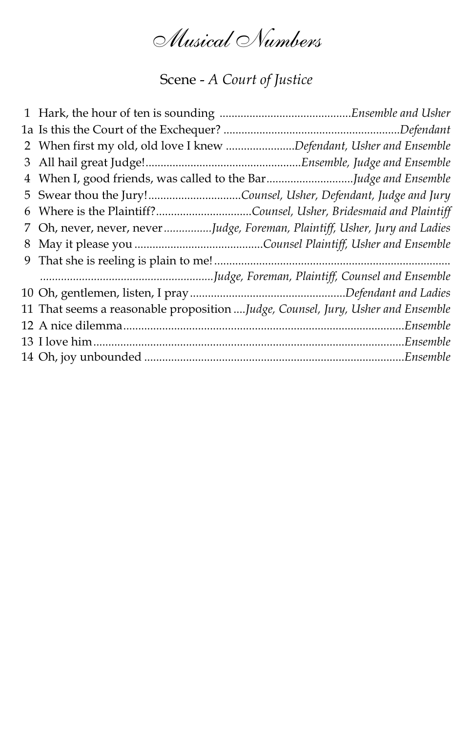*Musical Numbers*

Scene - *A Court of Justice*

| 2 When first my old, old love I knew Defendant, Usher and Ensemble              |  |
|---------------------------------------------------------------------------------|--|
|                                                                                 |  |
| 4 When I, good friends, was called to the BarJudge and Ensemble                 |  |
| 5 Swear thou the Jury!Counsel, Usher, Defendant, Judge and Jury                 |  |
| 6 Where is the Plaintiff?Counsel, Usher, Bridesmaid and Plaintiff               |  |
| 7 Oh, never, never, neverJudge, Foreman, Plaintiff, Usher, Jury and Ladies      |  |
|                                                                                 |  |
|                                                                                 |  |
|                                                                                 |  |
|                                                                                 |  |
| 11 That seems a reasonable proposition Judge, Counsel, Jury, Usher and Ensemble |  |
|                                                                                 |  |
|                                                                                 |  |
|                                                                                 |  |